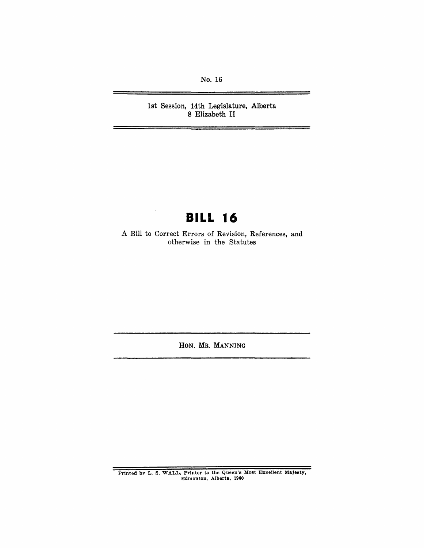No. 16

1st Session, 14th Legislature, Alberta 8 Elizabeth **II** 

# **BILL 16**

A Bill to Correct Errors of Revision, References, and otherwise in the Statutes

HON. MR. MANNING

Printed by L. S. WALL, Printer to the Queen's Most Excellent Majesty, Edmonton, Alberta, 1960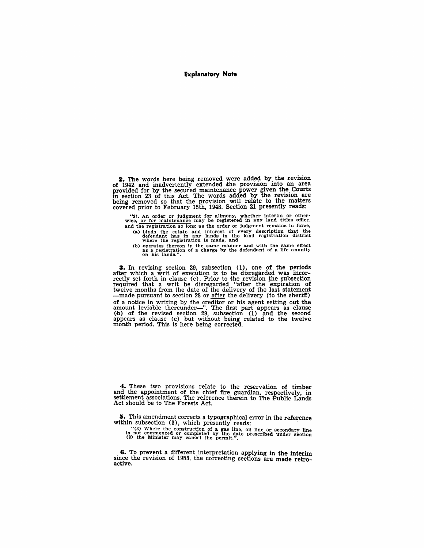#### Explanatory Note

2. The words here being removed were added by the revision of 1942 and inadvertently extended the provision into an area of 1942 and inadvertently extended the provision into an area provided for by the secured maintenance power given the Courts in section 23 of this Act. The words added by the revision are being removed so that the provisio covered prior to February 15th, 1943. Section 21 presently reads:

"21. An order or judgment for alimony, whether interim or other-wise, or for maintenance may be registered in any land titles office, and the registration so long as the order or judgment remains in force, (a) binds the estate and interest of every description that the defendant has in any lands in the land registration district where the registration is made, and

(b) operates thereon in the same manner and with the same effect as a registration of a charge by the defendant of a life annuity on his lands.".

**3.** In revising section 29, subsection (1), one of the periods after which a writ of execution is to be disregarded was incorrectly set forth in clause (c). Prior to the revision the subsection required that a writ be dis twelve months from the date of the delivery of the last statement —made pursuant to section 28 or <u>after</u> the delivery (to the sheriff) of a notice in writing by the creditor or his agent setting out the amount leviable thereunder—". The first part appears as clause (b) of the revised section 29, subsection (1) and the second appears as clause (c) 'but without being related to the twelve month period. This is here being corrected.

4. These two provisions relate to the reservation of timber and the appointment of the chief fire guardian, respectively, in settlement associations. The reference therein to The Public Lands Act should be to The Forests Act.

5. This amendment corrects a typographical error in the reference within subsection (3), which presently reads:

"(3) Where the construction of a gas line, oil line or secondary line is not commenced or completed by the date prescribed under section (2) the Minister may cancel the permit.".

8. To prevent a different interpretation applying in the interim since the revision of 1955, the correcting sections are made retroactive.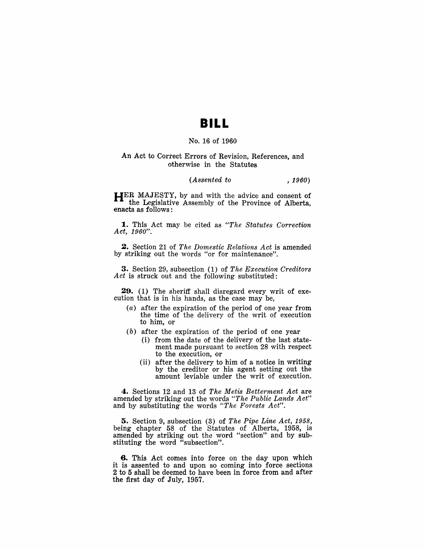### **BILL**

#### No. 16 of 1960

#### An Act to Correct Errors of Revision, References, and otherwise in the Statutes

#### *(Assented to , 1960)*

HER MAJESTY, by and with the advice and consent of the Legislative Assembly of the Province of Alberta, enacts as follows:

1. This Act may be cited as *"The Statutes Correction Act, 1960".* 

2. Section 21 of *The Domestic Relations Act* is amended by striking out the words "or for maintenance".

3. Section 29, subsection (1) of *The Execution Creditors Act* is struck out and the following substituted:

**29.** (1) The sheriff shall disregard every writ of execution that is in his hands, as the case may be,

- (a) after the expiration of the period of one year from the time of the delivery of the writ of execution to him, or
- (b) after the expiration of the period of one year
	- (i) from the date of the delivery of the last statement made pursuant to section 28 with respect to the execution, or
	- (ii) after the delivery to him of a notice in writing by the creditor or his agent setting out the amount leviable under the writ of execution.

4. Sections 12 and 13 of *The Metis Betterment Act* are amended by striking out the words *"The Public Lands Act"*  and by substituting the words *"The Forests Act".* 

5. Section 9, subsection (3) of *The Pipe Line Act, 1958,*  being chapter 58 of the Statutes of Alberta, 1958, is amended by striking out the word "section" and by substituting the word "subsection".

6. This Act comes into force on the day upon which it is assented to and upon so coming into force sections 2 to 5 shall be deemed to have been in force from and after the first day of July, 1957.